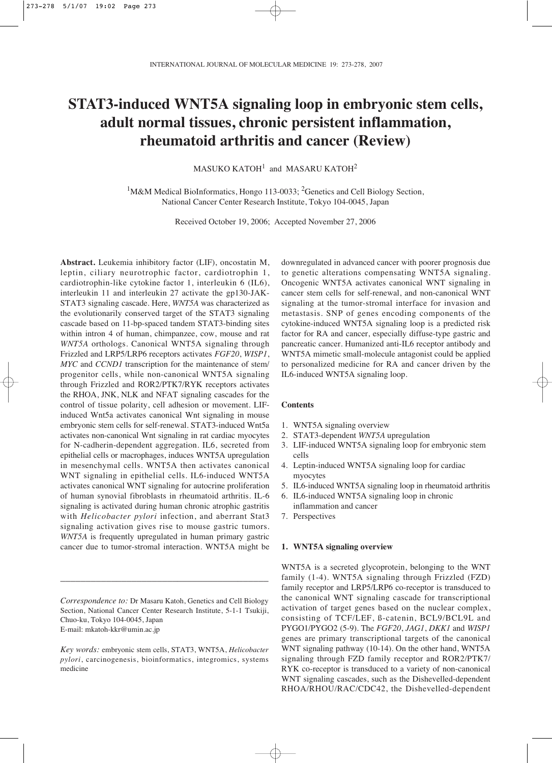# **STAT3-induced WNT5A signaling loop in embryonic stem cells, adult normal tissues, chronic persistent inflammation, rheumatoid arthritis and cancer (Review)**

 $MASUKO KATOH<sup>1</sup>$  and  $MASARU KATOH<sup>2</sup>$ 

<sup>1</sup>M&M Medical BioInformatics, Hongo 113-0033; <sup>2</sup>Genetics and Cell Biology Section, National Cancer Center Research Institute, Tokyo 104-0045, Japan

Received October 19, 2006; Accepted November 27, 2006

**Abstract.** Leukemia inhibitory factor (LIF), oncostatin M, leptin, ciliary neurotrophic factor, cardiotrophin 1, cardiotrophin-like cytokine factor 1, interleukin 6 (IL6), interleukin 11 and interleukin 27 activate the gp130-JAK-STAT3 signaling cascade. Here, *WNT5A* was characterized as the evolutionarily conserved target of the STAT3 signaling cascade based on 11-bp-spaced tandem STAT3-binding sites within intron 4 of human, chimpanzee, cow, mouse and rat *WNT5A* orthologs. Canonical WNT5A signaling through Frizzled and LRP5/LRP6 receptors activates *FGF20*, *WISP1*, *MYC* and *CCND1* transcription for the maintenance of stem/ progenitor cells, while non-canonical WNT5A signaling through Frizzled and ROR2/PTK7/RYK receptors activates the RHOA, JNK, NLK and NFAT signaling cascades for the control of tissue polarity, cell adhesion or movement. LIFinduced Wnt5a activates canonical Wnt signaling in mouse embryonic stem cells for self-renewal. STAT3-induced Wnt5a activates non-canonical Wnt signaling in rat cardiac myocytes for N-cadherin-dependent aggregation. IL6, secreted from epithelial cells or macrophages, induces WNT5A upregulation in mesenchymal cells. WNT5A then activates canonical WNT signaling in epithelial cells. IL6-induced WNT5A activates canonical WNT signaling for autocrine proliferation of human synovial fibroblasts in rheumatoid arthritis. IL-6 signaling is activated during human chronic atrophic gastritis with *Helicobacter pylori* infection, and aberrant Stat3 signaling activation gives rise to mouse gastric tumors. *WNT5A* is frequently upregulated in human primary gastric cancer due to tumor-stromal interaction. WNT5A might be

*Correspondence to:* Dr Masaru Katoh, Genetics and Cell Biology Section, National Cancer Center Research Institute, 5-1-1 Tsukiji, Chuo-ku, Tokyo 104-0045, Japan E-mail: mkatoh-kkr@umin.ac.jp

\_\_\_\_\_\_\_\_\_\_\_\_\_\_\_\_\_\_\_\_\_\_\_\_\_\_\_\_\_\_\_\_\_\_\_\_\_\_\_\_\_

*Key words:* embryonic stem cells, STAT3, WNT5A, *Helicobacter pylori*, carcinogenesis, bioinformatics, integromics, systems medicine

downregulated in advanced cancer with poorer prognosis due to genetic alterations compensating WNT5A signaling. Oncogenic WNT5A activates canonical WNT signaling in cancer stem cells for self-renewal, and non-canonical WNT signaling at the tumor-stromal interface for invasion and metastasis. SNP of genes encoding components of the cytokine-induced WNT5A signaling loop is a predicted risk factor for RA and cancer, especially diffuse-type gastric and pancreatic cancer. Humanized anti-IL6 receptor antibody and WNT5A mimetic small-molecule antagonist could be applied to personalized medicine for RA and cancer driven by the IL6-induced WNT5A signaling loop.

## **Contents**

- 1. WNT5A signaling overview
- 2. STAT3-dependent *WNT5A* upregulation
- 3. LIF-induced WNT5A signaling loop for embryonic stem cells
- 4. Leptin-induced WNT5A signaling loop for cardiac myocytes
- 5. IL6-induced WNT5A signaling loop in rheumatoid arthritis
- 6. IL6-induced WNT5A signaling loop in chronic inflammation and cancer
- 7. Perspectives

## **1. WNT5A signaling overview**

WNT5A is a secreted glycoprotein, belonging to the WNT family (1-4). WNT5A signaling through Frizzled (FZD) family receptor and LRP5/LRP6 co-receptor is transduced to the canonical WNT signaling cascade for transcriptional activation of target genes based on the nuclear complex, consisting of TCF/LEF, ß-catenin, BCL9/BCL9L and PYGO1/PYGO2 (5-9). The *FGF20*, *JAG1*, *DKK1* and *WISP1* genes are primary transcriptional targets of the canonical WNT signaling pathway (10-14). On the other hand, WNT5A signaling through FZD family receptor and ROR2/PTK7/ RYK co-receptor is transduced to a variety of non-canonical WNT signaling cascades, such as the Dishevelled-dependent RHOA/RHOU/RAC/CDC42, the Dishevelled-dependent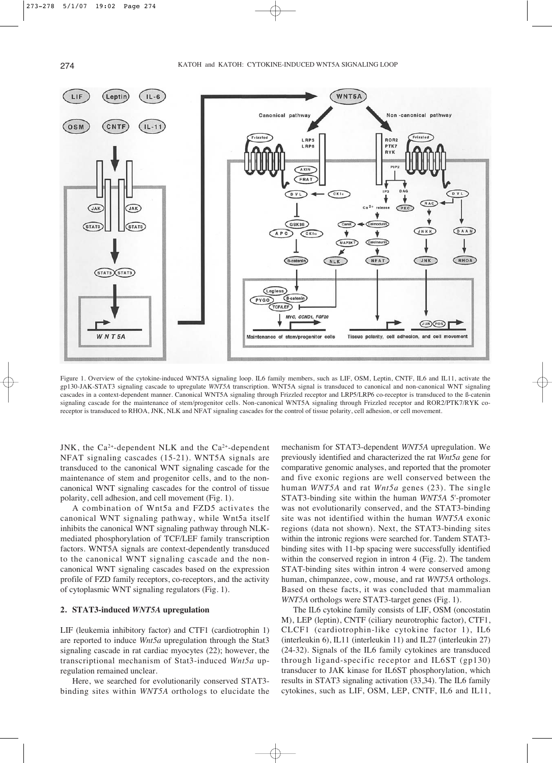

Figure 1. Overview of the cytokine-induced WNT5A signaling loop. IL6 family members, such as LIF, OSM, Leptin, CNTF, IL6 and IL11, activate the gp130-JAK-STAT3 signaling cascade to upregulate *WNT5A* transcription. WNT5A signal is transduced to canonical and non-canonical WNT signaling cascades in a context-dependent manner. Canonical WNT5A signaling through Frizzled receptor and LRP5/LRP6 co-receptor is transduced to the ß-catenin signaling cascade for the maintenance of stem/progenitor cells. Non-canonical WNT5A signaling through Frizzled receptor and ROR2/PTK7/RYK coreceptor is transduced to RHOA, JNK, NLK and NFAT signaling cascades for the control of tissue polarity, cell adhesion, or cell movement.

JNK, the  $Ca^{2+}$ -dependent NLK and the  $Ca^{2+}$ -dependent NFAT signaling cascades (15-21). WNT5A signals are transduced to the canonical WNT signaling cascade for the maintenance of stem and progenitor cells, and to the noncanonical WNT signaling cascades for the control of tissue polarity, cell adhesion, and cell movement (Fig. 1).

A combination of Wnt5a and FZD5 activates the canonical WNT signaling pathway, while Wnt5a itself inhibits the canonical WNT signaling pathway through NLKmediated phosphorylation of TCF/LEF family transcription factors. WNT5A signals are context-dependently transduced to the canonical WNT signaling cascade and the noncanonical WNT signaling cascades based on the expression profile of FZD family receptors, co-receptors, and the activity of cytoplasmic WNT signaling regulators (Fig. 1).

#### **2. STAT3-induced** *WNT5A* **upregulation**

LIF (leukemia inhibitory factor) and CTF1 (cardiotrophin 1) are reported to induce *Wnt5a* upregulation through the Stat3 signaling cascade in rat cardiac myocytes (22); however, the transcriptional mechanism of Stat3-induced *Wnt5a* upregulation remained unclear.

Here, we searched for evolutionarily conserved STAT3 binding sites within *WNT5A* orthologs to elucidate the mechanism for STAT3-dependent *WNT5A* upregulation. We previously identified and characterized the rat *Wnt5a* gene for comparative genomic analyses, and reported that the promoter and five exonic regions are well conserved between the human *WNT5A* and rat *Wnt5a* genes (23). The single STAT3-binding site within the human *WNT5A* 5'-promoter was not evolutionarily conserved, and the STAT3-binding site was not identified within the human *WNT5A* exonic regions (data not shown). Next, the STAT3-binding sites within the intronic regions were searched for. Tandem STAT3 binding sites with 11-bp spacing were successfully identified within the conserved region in intron 4 (Fig. 2). The tandem STAT-binding sites within intron 4 were conserved among human, chimpanzee, cow, mouse, and rat *WNT5A* orthologs. Based on these facts, it was concluded that mammalian *WNT5A* orthologs were STAT3-target genes (Fig. 1).

The IL6 cytokine family consists of LIF, OSM (oncostatin M), LEP (leptin), CNTF (ciliary neurotrophic factor), CTF1, CLCF1 (cardiotrophin-like cytokine factor 1), IL6 (interleukin 6), IL11 (interleukin 11) and IL27 (interleukin 27) (24-32). Signals of the IL6 family cytokines are transduced through ligand-specific receptor and IL6ST (gp130) transducer to JAK kinase for IL6ST phosphorylation, which results in STAT3 signaling activation (33,34). The IL6 family cytokines, such as LIF, OSM, LEP, CNTF, IL6 and IL11,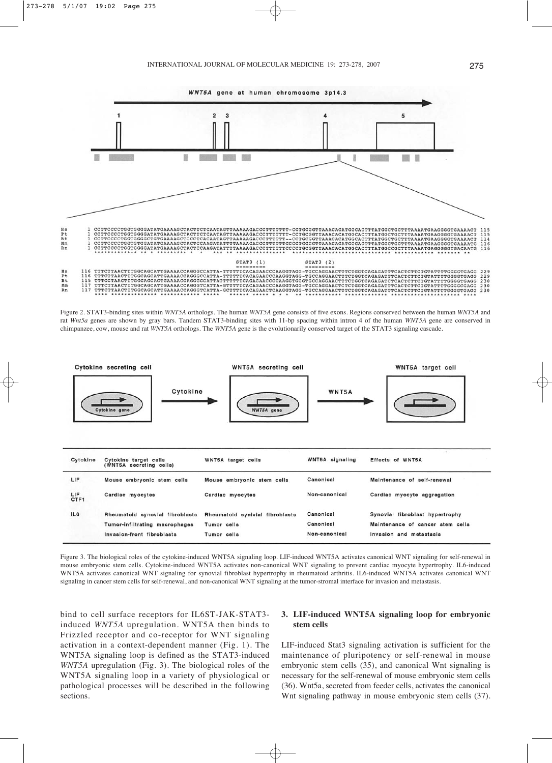

Figure 2. STAT3-binding sites within *WNT5A* orthologs. The human *WNT5A* gene consists of five exons. Regions conserved between the human *WNT5A* and rat *Wnt5a* genes are shown by gray bars. Tandem STAT3-binding sites with 11-bp spacing within intron 4 of the human *WNT5A* gene are conserved in chimpanzee, cow, mouse and rat *WNT5A* orthologs. The *WNT5A* gene is the evolutionarily conserved target of the STAT3 signaling cascade.



Figure 3. The biological roles of the cytokine-induced WNT5A signaling loop. LIF-induced WNT5A activates canonical WNT signaling for self-renewal in mouse embryonic stem cells. Cytokine-induced WNT5A activates non-canonical WNT signaling to prevent cardiac myocyte hypertrophy. IL6-induced WNT5A activates canonical WNT signaling for synovial fibroblast hypertrophy in rheumatoid arthritis. IL6-induced WNT5A activates canonical WNT signaling in cancer stem cells for self-renewal, and non-canonical WNT signaling at the tumor-stromal interface for invasion and metastasis.

bind to cell surface receptors for IL6ST-JAK-STAT3 induced *WNT5A* upregulation. WNT5A then binds to Frizzled receptor and co-receptor for WNT signaling activation in a context-dependent manner (Fig. 1). The WNT5A signaling loop is defined as the STAT3-induced *WNT5A* upregulation (Fig. 3). The biological roles of the WNT5A signaling loop in a variety of physiological or pathological processes will be described in the following sections.

## **3. LIF-induced WNT5A signaling loop for embryonic stem cells**

LIF-induced Stat3 signaling activation is sufficient for the maintenance of pluripotency or self-renewal in mouse embryonic stem cells (35), and canonical Wnt signaling is necessary for the self-renewal of mouse embryonic stem cells (36). Wnt5a, secreted from feeder cells, activates the canonical Wnt signaling pathway in mouse embryonic stem cells (37).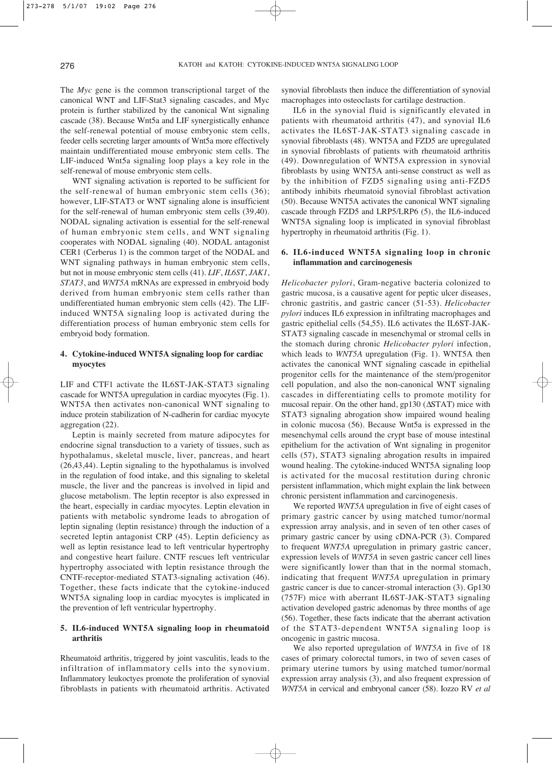The *Myc* gene is the common transcriptional target of the canonical WNT and LIF-Stat3 signaling cascades, and Myc protein is further stabilized by the canonical Wnt signaling cascade (38). Because Wnt5a and LIF synergistically enhance the self-renewal potential of mouse embryonic stem cells, feeder cells secreting larger amounts of Wnt5a more effectively maintain undifferentiated mouse embryonic stem cells. The LIF-induced Wnt5a signaling loop plays a key role in the self-renewal of mouse embryonic stem cells.

WNT signaling activation is reported to be sufficient for the self-renewal of human embryonic stem cells (36); however, LIF-STAT3 or WNT signaling alone is insufficient for the self-renewal of human embryonic stem cells (39,40). NODAL signaling activation is essential for the self-renewal of human embryonic stem cells, and WNT signaling cooperates with NODAL signaling (40). NODAL antagonist CER1 (Cerberus 1) is the common target of the NODAL and WNT signaling pathways in human embryonic stem cells, but not in mouse embryonic stem cells (41). *LIF*, *IL6ST*, *JAK1*, *STAT3*, and *WNT5A* mRNAs are expressed in embryoid body derived from human embryonic stem cells rather than undifferentiated human embryonic stem cells (42). The LIFinduced WNT5A signaling loop is activated during the differentiation process of human embryonic stem cells for embryoid body formation.

# **4. Cytokine-induced WNT5A signaling loop for cardiac myocytes**

LIF and CTF1 activate the IL6ST-JAK-STAT3 signaling cascade for WNT5A upregulation in cardiac myocytes (Fig. 1). WNT5A then activates non-canonical WNT signaling to induce protein stabilization of N-cadherin for cardiac myocyte aggregation (22).

Leptin is mainly secreted from mature adipocytes for endocrine signal transduction to a variety of tissues, such as hypothalamus, skeletal muscle, liver, pancreas, and heart (26,43,44). Leptin signaling to the hypothalamus is involved in the regulation of food intake, and this signaling to skeletal muscle, the liver and the pancreas is involved in lipid and glucose metabolism. The leptin receptor is also expressed in the heart, especially in cardiac myocytes. Leptin elevation in patients with metabolic syndrome leads to abrogation of leptin signaling (leptin resistance) through the induction of a secreted leptin antagonist CRP (45). Leptin deficiency as well as leptin resistance lead to left ventricular hypertrophy and congestive heart failure. CNTF rescues left ventricular hypertrophy associated with leptin resistance through the CNTF-receptor-mediated STAT3-signaling activation (46). Together, these facts indicate that the cytokine-induced WNT5A signaling loop in cardiac myocytes is implicated in the prevention of left ventricular hypertrophy.

# **5. IL6-induced WNT5A signaling loop in rheumatoid arthritis**

Rheumatoid arthritis, triggered by joint vasculitis, leads to the infiltration of inflammatory cells into the synovium. Inflammatory leukoctyes promote the proliferation of synovial fibroblasts in patients with rheumatoid arthritis. Activated synovial fibroblasts then induce the differentiation of synovial macrophages into osteoclasts for cartilage destruction.

IL6 in the synovial fluid is significantly elevated in patients with rheumatoid arthritis (47), and synovial IL6 activates the IL6ST-JAK-STAT3 signaling cascade in synovial fibroblasts (48). WNT5A and FZD5 are upregulated in synovial fibroblasts of patients with rheumatoid arthritis (49). Downregulation of WNT5A expression in synovial fibroblasts by using WNT5A anti-sense construct as well as by the inhibition of FZD5 signaling using anti-FZD5 antibody inhibits rheumatoid synovial fibroblast activation (50). Because WNT5A activates the canonical WNT signaling cascade through FZD5 and LRP5/LRP6 (5), the IL6-induced WNT5A signaling loop is implicated in synovial fibroblast hypertrophy in rheumatoid arthritis (Fig. 1).

## **6. IL6-induced WNT5A signaling loop in chronic inflammation and carcinogenesis**

*Helicobacter pylori*, Gram-negative bacteria colonized to gastric mucosa, is a causative agent for peptic ulcer diseases, chronic gastritis, and gastric cancer (51-53). *Helicobacter pylori* induces IL6 expression in infiltrating macrophages and gastric epithelial cells (54,55). IL6 activates the IL6ST-JAK-STAT3 signaling cascade in mesenchymal or stromal cells in the stomach during chronic *Helicobacter pylori* infection, which leads to *WNT5A* upregulation (Fig. 1). WNT5A then activates the canonical WNT signaling cascade in epithelial progenitor cells for the maintenance of the stem/progenitor cell population, and also the non-canonical WNT signaling cascades in differentiating cells to promote motility for mucosal repair. On the other hand, gp130 (ΔSTAT) mice with STAT3 signaling abrogation show impaired wound healing in colonic mucosa (56). Because Wnt5a is expressed in the mesenchymal cells around the crypt base of mouse intestinal epithelium for the activation of Wnt signaling in progenitor cells (57), STAT3 signaling abrogation results in impaired wound healing. The cytokine-induced WNT5A signaling loop is activated for the mucosal restitution during chronic persistent inflammation, which might explain the link between chronic persistent inflammation and carcinogenesis.

We reported *WNT5A* upregulation in five of eight cases of primary gastric cancer by using matched tumor/normal expression array analysis, and in seven of ten other cases of primary gastric cancer by using cDNA-PCR (3). Compared to frequent *WNT5A* upregulation in primary gastric cancer, expression levels of *WNT5A* in seven gastric cancer cell lines were significantly lower than that in the normal stomach, indicating that frequent *WNT5A* upregulation in primary gastric cancer is due to cancer-stromal interaction (3). Gp130 (757F) mice with aberrant IL6ST-JAK-STAT3 signaling activation developed gastric adenomas by three months of age (56). Together, these facts indicate that the aberrant activation of the STAT3-dependent WNT5A signaling loop is oncogenic in gastric mucosa.

We also reported upregulation of *WNT5A* in five of 18 cases of primary colorectal tumors, in two of seven cases of primary uterine tumors by using matched tumor/normal expression array analysis (3), and also frequent expression of *WNT5A* in cervical and embryonal cancer (58). Iozzo RV *et al*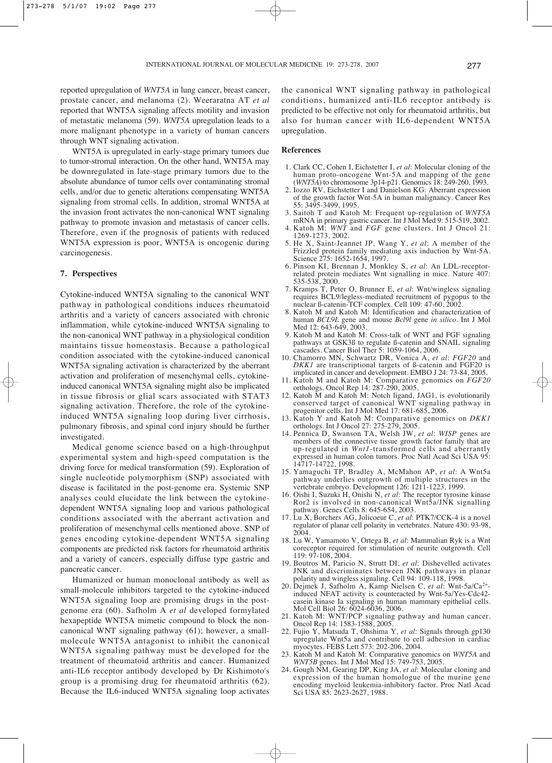reported upregulation of *WNT5A* in lung cancer, breast cancer, prostate cancer, and melanoma (2). Weeraratna AT *et al* reported that WNT5A signaling affects motility and invasion of metastatic melanoma (59). *WNT5A* upregulation leads to a more malignant phenotype in a variety of human cancers through WNT signaling activation.

WNT5A is upregulated in early-stage primary tumors due to tumor-stromal interaction. On the other hand, WNT5A may be downregulated in late-stage primary tumors due to the absolute abundance of tumor cells over contaminating stromal cells, and/or due to genetic alterations compensating WNT5A signaling from stromal cells. In addition, stromal WNT5A at the invasion front activates the non-canonical WNT signaling pathway to promote invasion and metastasis of cancer cells. Therefore, even if the prognosis of patients with reduced WNT5A expression is poor, WNT5A is oncogenic during carcinogenesis.

## **7. Perspectives**

Cytokine-induced WNT5A signaling to the canonical WNT pathway in pathological conditions induces rheumatoid arthritis and a variety of cancers associated with chronic inflammation, while cytokine-induced WNT5A signaling to the non-canonical WNT pathway in a physiological condition maintains tissue homeostasis. Because a pathological condition associated with the cytokine-induced canonical WNT5A signaling activation is characterized by the aberrant activation and proliferation of mesenchymal cells, cytokineinduced canonical WNT5A signaling might also be implicated in tissue fibrosis or glial scars associated with STAT3 signaling activation. Therefore, the role of the cytokineinduced WNT5A signaling loop during liver cirrhosis, pulmonary fibrosis, and spinal cord injury should be further investigated.

Medical genome science based on a high-throughput experimental system and high-speed computation is the driving force for medical transformation (59). Exploration of single nucleotide polymorphism (SNP) associated with disease is facilitated in the post-genome era. Systemic SNP analyses could elucidate the link between the cytokinedependent WNT5A signaling loop and various pathological conditions associated with the aberrant activation and proliferation of mesenchymal cells mentioned above. SNP of genes encoding cytokine-dependent WNT5A signaling components are predicted risk factors for rheumatoid arthritis and a variety of cancers, especially diffuse type gastric and pancreatic cancer.

Humanized or human monoclonal antibody as well as small-molecule inhibitors targeted to the cytokine-induced WNT5A signaling loop are promising drugs in the postgenome era (60). Safholm A *et al* developed formylated hexapeptide WNT5A mimetic compound to block the noncanonical WNT signaling pathway (61); however, a smallmolecule WNT5A antagonist to inhibit the canonical WNT5A signaling pathway must be developed for the treatment of rheumatoid arthritis and cancer. Humanized anti-IL6 receptor antibody developed by Dr Kishimoto's group is a promising drug for rheumatoid arthritis (62). Because the IL6-induced WNT5A signaling loop activates the canonical WNT signaling pathway in pathological conditions, humanized anti-IL6 receptor antibody is predicted to be effective not only for rheumatoid arthritis, but also for human cancer with IL6-dependent WNT5A upregulation.

#### **References**

- 1. Clark CC, Cohen I, Eichstetter I, *et al*: Molecular cloning of the human proto-oncogene Wnt-5A and mapping of the gene (*WNT5A*) to chromosome 3p14-p21. Genomics 18: 249-260, 1993.
- 2. Iozzo RV, Eichstetter I and Danielson KG: Aberrant expression of the growth factor Wnt-5A in human malignancy. Cancer Res 55: 3495-3499, 1995.
- 3. Saitoh T and Katoh M: Frequent up-regulation of *WNT5A* mRNA in primary gastric cancer. Int J Mol Med 9: 515-519, 2002.
- 4. Katoh M: *WNT* and *FGF* gene clusters. Int J Oncol 21: 1269-1273, 2002.
- 5. He X, Saint-Jeannet JP, Wang Y, *et al*: A member of the Frizzled protein family mediating axis induction by Wnt-5A. Science 275: 1652-1654, 1997.
- 6. Pinson KI, Brennan J, Monkley S, *et al*: An LDL-receptorrelated protein mediates Wnt signalling in mice. Nature 407: 535-538, 2000.
- 7. Kramps T, Peter O, Brunner E, *et al*: Wnt/wingless signaling requires BCL9/legless-mediated recruitment of pygopus to the nuclear ß-catenin-TCF complex. Cell 109: 47-60, 2002.
- 8. Katoh M and Katoh M: Identification and characterization of human *BCL9L* gene and mouse *Bcl9l* gene *in silico*. Int J Mol Med 12: 643-649, 2003.
- 9. Katoh M and Katoh M: Cross-talk of WNT and FGF signaling pathways at GSK3ß to regulate ß-catenin and SNAIL signaling cascades. Cancer Biol Ther 5: 1059-1064, 2006.
- 10. Chamorro MN, Schwartz DR, Vonica A, *et al*: *FGF20* and *DKK1* are transcriptional targets of ß-catenin and FGF20 is implicated in cancer and development. EMBO J 24: 73-84, 2005.
- 11. Katoh M and Katoh M: Comparative genomics on *FGF20* orthologs. Oncol Rep 14: 287-290, 2005.
- 12. Katoh M and Katoh M: Notch ligand, JAG1, is evolutionarily conserved target of canonical WNT signaling pathway in progenitor cells. Int J Mol Med 17: 681-685, 2006.
- 13. Katoh Y and Katoh M: Comparative genomics on *DKK1* orthologs. Int J Oncol 27: 275-279, 2005.
- 14. Pennica D, Swanson TA, Welsh JW, *et al*: *WISP* genes are members of the connective tissue growth factor family that are up-regulated in *Wnt1*-transformed cells and aberrantly expressed in human colon tumors. Proc Natl Acad Sci USA 95: 14717-14722, 1998.
- 15. Yamaguchi TP, Bradley A, McMahon AP, *et al*: A Wnt5a pathway underlies outgrowth of multiple structures in the vertebrate embryo. Development 126: 1211-1223, 1999.
- 16. Oishi I, Suzuki H, Onishi N, *et al*: The receptor tyrosine kinase Ror2 is involved in non-canonical Wnt5a/JNK signalling pathway. Genes Cells 8: 645-654, 2003.
- 17. Lu X, Borchers AG, Jolicoeur C, *et al*: PTK7/CCK-4 is a novel regulator of planar cell polarity in vertebrates. Nature 430: 93-98, 2004.
- 18. Lu W, Yamamoto V, Ortega B, *et al*: Mammalian Ryk is a Wnt coreceptor required for stimulation of neurite outgrowth. Cell 119: 97-108, 2004.
- 19. Boutros M, Paricio N, Strutt DI, *et al*: Dishevelled activates JNK and discriminates between JNK pathways in planar polarity and wingless signaling. Cell 94: 109-118, 1998.
- 20. Dejmek J, Safholm A, Kamp Nielsen C, *et al*: Wnt-5a/Ca2+ induced NFAT activity is counteracted by Wnt-5a/Yes-Cdc42 casein kinase Ia signaling in human mammary epithelial cells. Mol Cell Biol 26: 6024-6036, 2006.
- 21. Katoh M: WNT/PCP signaling pathway and human cancer. Oncol Rep 14: 1583-1588, 2005.
- 22. Fujio Y, Matsuda T, Ohshima Y, *et al*: Signals through gp130 upregulate Wnt5a and contribute to cell adhesion in cardiac myocytes. FEBS Lett 573: 202-206, 2004.
- 23. Katoh M and Katoh M: Comparative genomics on *WNT5A* and *WNT5B* genes. Int J Mol Med 15: 749-753, 2005.
- 24. Gough NM, Gearing DP, King JA, *et al*: Molecular cloning and expression of the human homologue of the murine gene encoding myeloid leukemia-inhibitory factor. Proc Natl Acad Sci USA 85: 2623-2627, 1988.